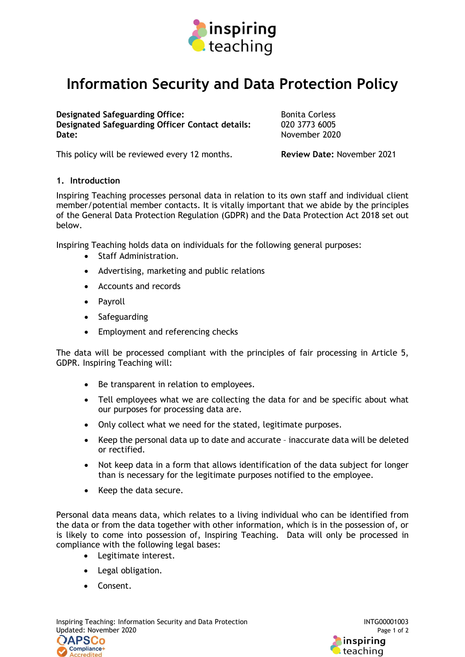

## Information Security and Data Protection Policy

Designated Safeguarding Office:<br>
Designated Safeguarding Officer Contact details: 020 3773 6005 Designated Safeguarding Officer Contact details: Date: November 2020

This policy will be reviewed every 12 months. Review Date: November 2021

## 1. Introduction

Inspiring Teaching processes personal data in relation to its own staff and individual client member/potential member contacts. It is vitally important that we abide by the principles of the General Data Protection Regulation (GDPR) and the Data Protection Act 2018 set out below.

Inspiring Teaching holds data on individuals for the following general purposes:

- Staff Administration.
- Advertising, marketing and public relations
- Accounts and records
- Payroll
- Safeguarding
- Employment and referencing checks

The data will be processed compliant with the principles of fair processing in Article 5, GDPR. Inspiring Teaching will:

- Be transparent in relation to employees.
- Tell employees what we are collecting the data for and be specific about what our purposes for processing data are.
- Only collect what we need for the stated, legitimate purposes.
- Keep the personal data up to date and accurate inaccurate data will be deleted or rectified.
- Not keep data in a form that allows identification of the data subject for longer than is necessary for the legitimate purposes notified to the employee.
- Keep the data secure.

Personal data means data, which relates to a living individual who can be identified from the data or from the data together with other information, which is in the possession of, or is likely to come into possession of, Inspiring Teaching. Data will only be processed in compliance with the following legal bases:

- Legitimate interest.
- Legal obligation.
- Consent.

Inspiring Teaching: Information Security and Data Protection **INTG00001003** INTG00001003 Updated: November 2020 Page 1 of 2 **OAPSCo** Compliance+